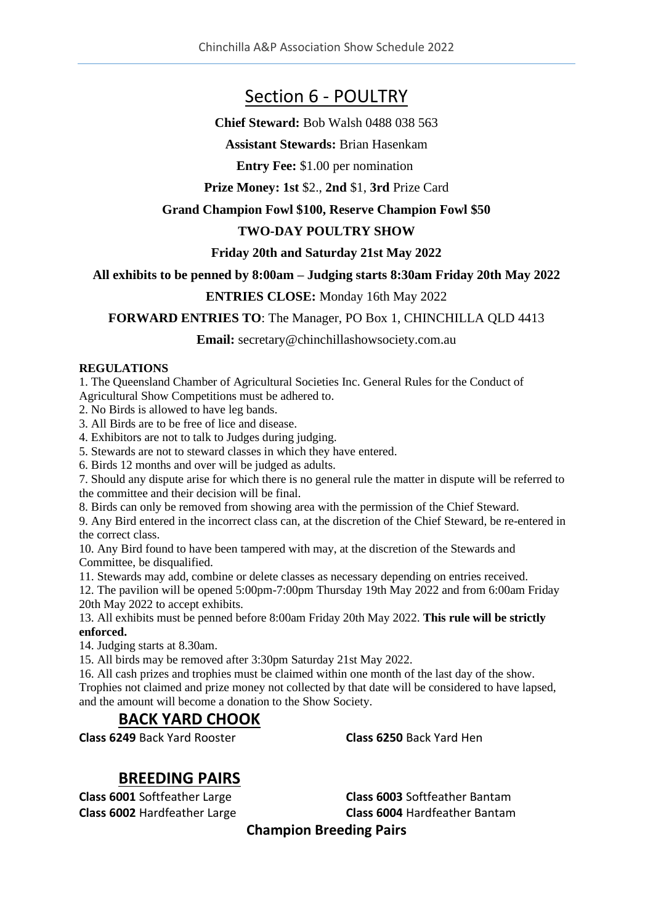# Section 6 - POULTRY

**Chief Steward:** Bob Walsh 0488 038 563

**Assistant Stewards:** Brian Hasenkam

**Entry Fee:** \$1.00 per nomination

**Prize Money: 1st** \$2., **2nd** \$1, **3rd** Prize Card

### **Grand Champion Fowl \$100, Reserve Champion Fowl \$50**

# **TWO-DAY POULTRY SHOW**

## **Friday 20th and Saturday 21st May 2022**

### **All exhibits to be penned by 8:00am – Judging starts 8:30am Friday 20th May 2022**

## **ENTRIES CLOSE:** Monday 16th May 2022

## **FORWARD ENTRIES TO**: The Manager, PO Box 1, CHINCHILLA QLD 4413

### **Email:** secretary@chinchillashowsociety.com.au

#### **REGULATIONS**

1. The Queensland Chamber of Agricultural Societies Inc. General Rules for the Conduct of Agricultural Show Competitions must be adhered to.

2. No Birds is allowed to have leg bands.

3. All Birds are to be free of lice and disease.

4. Exhibitors are not to talk to Judges during judging.

5. Stewards are not to steward classes in which they have entered.

6. Birds 12 months and over will be judged as adults.

7. Should any dispute arise for which there is no general rule the matter in dispute will be referred to the committee and their decision will be final.

8. Birds can only be removed from showing area with the permission of the Chief Steward.

9. Any Bird entered in the incorrect class can, at the discretion of the Chief Steward, be re-entered in the correct class.

10. Any Bird found to have been tampered with may, at the discretion of the Stewards and Committee, be disqualified.

11. Stewards may add, combine or delete classes as necessary depending on entries received.

12. The pavilion will be opened 5:00pm-7:00pm Thursday 19th May 2022 and from 6:00am Friday 20th May 2022 to accept exhibits.

13. All exhibits must be penned before 8:00am Friday 20th May 2022. **This rule will be strictly enforced.**

14. Judging starts at 8.30am.

15. All birds may be removed after 3:30pm Saturday 21st May 2022.

16. All cash prizes and trophies must be claimed within one month of the last day of the show. Trophies not claimed and prize money not collected by that date will be considered to have lapsed, and the amount will become a donation to the Show Society.

# **BACK YARD CHOOK**

**Class 6249** Back Yard Rooster **Class 6250** Back Yard Hen

# **BREEDING PAIRS**

**Class 6001** Softfeather Large **Class 6002** Hardfeather Large **Class 6003** Softfeather Bantam **Class 6004** Hardfeather Bantam

# **Champion Breeding Pairs**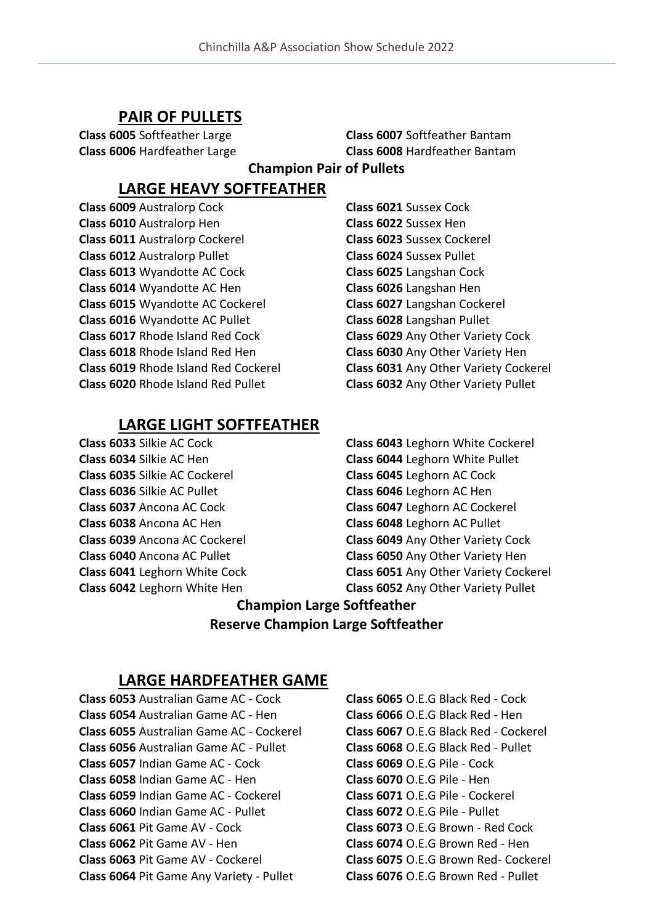#### **PAIR OF PULLETS**

**Class 6005** Softfeather Large **Class 6006** Hardfeather Large

**Class 6007** Softfeather Bantam **Class 6008** Hardfeather Bantam **Champion Pair of Pullets**

# **LARGE HEAVY SOFTFEATHER**

**Class 6009** Australorp Cock **Class 6010** Australorp Hen **Class 6011** Australorp Cockerel **Class 6012** Australorp Pullet **Class 6013** Wyandotte AC Cock **Class 6014** Wyandotte AC Hen **Class 6015** Wyandotte AC Cockerel **Class 6016** Wyandotte AC Pullet **Class 6017** Rhode Island Red Cock **Class 6018** Rhode Island Red Hen **Class 6019** Rhode Island Red Cockerel **Class 6020** Rhode Island Red Pullet

**Class 6021** Sussex Cock **Class 6022** Sussex Hen **Class 6023** Sussex Cockerel **Class 6024** Sussex Pullet **Class 6025** Langshan Cock **Class 6026** Langshan Hen **Class 6027** Langshan Cockerel **Class 6028** Langshan Pullet **Class 6029** Any Other Variety Cock **Class 6030** Any Other Variety Hen **Class 6031** Any Other Variety Cockerel **Class 6032** Any Other Variety Pullet

### **LARGE LIGHT SOFTFEATHER**

**Class 6033** Silkie AC Cock **Class 6034** Silkie AC Hen **Class 6035** Silkie AC Cockerel **Class 6036** Silkie AC Pullet **Class 6037** Ancona AC Cock **Class 6038** Ancona AC Hen **Class 6039** Ancona AC Cockerel **Class 6040** Ancona AC Pullet **Class 6041** Leghorn White Cock **Class 6042** Leghorn White Hen

**Class 6043** Leghorn White Cockerel **Class 6044** Leghorn White Pullet **Class 6045** Leghorn AC Cock **Class 6046** Leghorn AC Hen **Class 6047** Leghorn AC Cockerel **Class 6048** Leghorn AC Pullet **Class 6049** Any Other Variety Cock **Class 6050** Any Other Variety Hen **Class 6051** Any Other Variety Cockerel **Class 6052** Any Other Variety Pullet

# **Champion Large Softfeather Reserve Champion Large Softfeather**

#### **LARGE HARDFEATHER GAME**

**Class 6053** Australian Game AC - Cock **Class 6054** Australian Game AC - Hen **Class 6055** Australian Game AC - Cockerel **Class 6056** Australian Game AC - Pullet **Class 6057** Indian Game AC - Cock **Class 6058** Indian Game AC - Hen **Class 6059** Indian Game AC - Cockerel **Class 6060** Indian Game AC - Pullet **Class 6061** Pit Game AV - Cock **Class 6062** Pit Game AV - Hen **Class 6063** Pit Game AV - Cockerel **Class 6064** Pit Game Any Variety - Pullet

**Class 6065** O.E.G Black Red - Cock **Class 6066** O.E.G Black Red - Hen **Class 6067** O.E.G Black Red - Cockerel **Class 6068** O.E.G Black Red - Pullet **Class 6069** O.E.G Pile - Cock **Class 6070** O.E.G Pile - Hen **Class 6071** O.E.G Pile - Cockerel **Class 6072** O.E.G Pile - Pullet **Class 6073** O.E.G Brown - Red Cock **Class 6074** O.E.G Brown Red - Hen **Class 6075** O.E.G Brown Red- Cockerel **Class 6076** O.E.G Brown Red - Pullet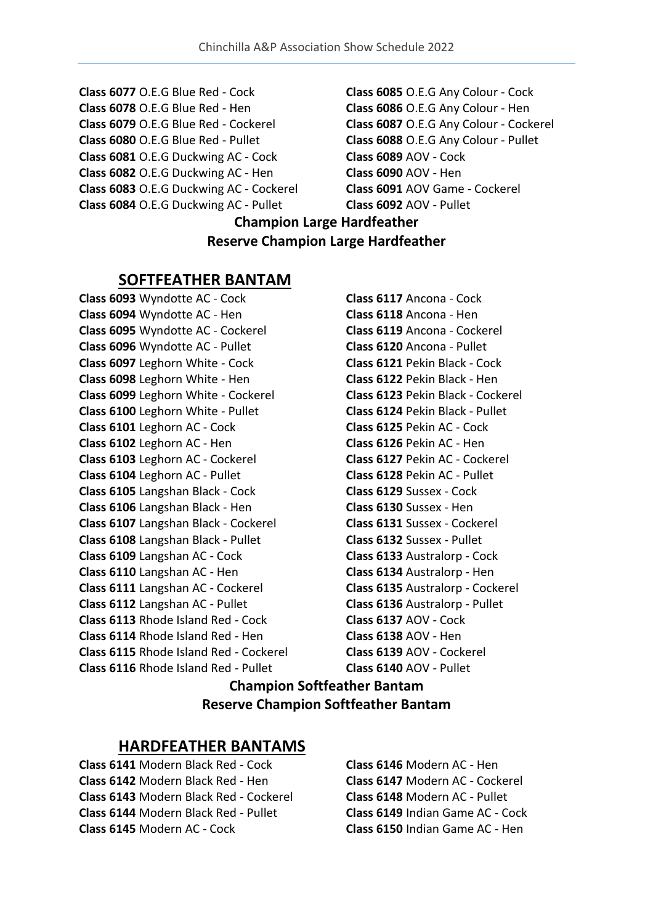- **Class 6077** O.E.G Blue Red Cock
- **Class 6078** O.E.G Blue Red Hen
- **Class 6079** O.E.G Blue Red Cockerel
- **Class 6080** O.E.G Blue Red Pullet
- **Class 6081** O.E.G Duckwing AC Cock
- **Class 6082** O.E.G Duckwing AC Hen
- **Class 6083** O.E.G Duckwing AC Cockerel
- **Class 6084** O.E.G Duckwing AC Pullet
- **Class 6085** O.E.G Any Colour Cock **Class 6086** O.E.G Any Colour - Hen **Class 6087** O.E.G Any Colour - Cockerel **Class 6088** O.E.G Any Colour - Pullet **Class 6089** AOV - Cock **Class 6090** AOV - Hen **Class 6091** AOV Game - Cockerel **Class 6092** AOV - Pullet

# **Champion Large Hardfeather Reserve Champion Large Hardfeather**

# **SOFTFEATHER BANTAM**

**Class 6093** Wyndotte AC - Cock **Class 6094** Wyndotte AC - Hen **Class 6095** Wyndotte AC - Cockerel **Class 6096** Wyndotte AC - Pullet **Class 6097** Leghorn White - Cock **Class 6098** Leghorn White - Hen **Class 6099** Leghorn White - Cockerel **Class 6100** Leghorn White - Pullet **Class 6101** Leghorn AC - Cock **Class 6102** Leghorn AC - Hen **Class 6103** Leghorn AC - Cockerel **Class 6104** Leghorn AC - Pullet **Class 6105** Langshan Black - Cock **Class 6106** Langshan Black - Hen **Class 6107** Langshan Black - Cockerel **Class 6108** Langshan Black - Pullet **Class 6109** Langshan AC - Cock **Class 6110** Langshan AC - Hen **Class 6111** Langshan AC - Cockerel **Class 6112** Langshan AC - Pullet **Class 6113** Rhode Island Red - Cock **Class 6114** Rhode Island Red - Hen **Class 6115** Rhode Island Red - Cockerel **Class 6116** Rhode Island Red - Pullet

**Class 6117** Ancona - Cock **Class 6118** Ancona - Hen **Class 6119** Ancona - Cockerel **Class 6120** Ancona - Pullet **Class 6121** Pekin Black - Cock **Class 6122** Pekin Black - Hen **Class 6123** Pekin Black - Cockerel **Class 6124** Pekin Black - Pullet **Class 6125** Pekin AC - Cock **Class 6126** Pekin AC - Hen **Class 6127** Pekin AC - Cockerel **Class 6128** Pekin AC - Pullet **Class 6129** Sussex - Cock **Class 6130** Sussex - Hen **Class 6131** Sussex - Cockerel **Class 6132** Sussex - Pullet **Class 6133** Australorp - Cock **Class 6134** Australorp - Hen **Class 6135** Australorp - Cockerel **Class 6136** Australorp - Pullet **Class 6137** AOV - Cock **Class 6138** AOV - Hen **Class 6139** AOV - Cockerel **Class 6140** AOV - Pullet

# **Champion Softfeather Bantam Reserve Champion Softfeather Bantam**

# **HARDFEATHER BANTAMS**

**Class 6141** Modern Black Red - Cock **Class 6142** Modern Black Red - Hen **Class 6143** Modern Black Red - Cockerel **Class 6144** Modern Black Red - Pullet **Class 6145** Modern AC - Cock

**Class 6146** Modern AC - Hen **Class 6147** Modern AC - Cockerel **Class 6148** Modern AC - Pullet **Class 6149** Indian Game AC - Cock **Class 6150** Indian Game AC - Hen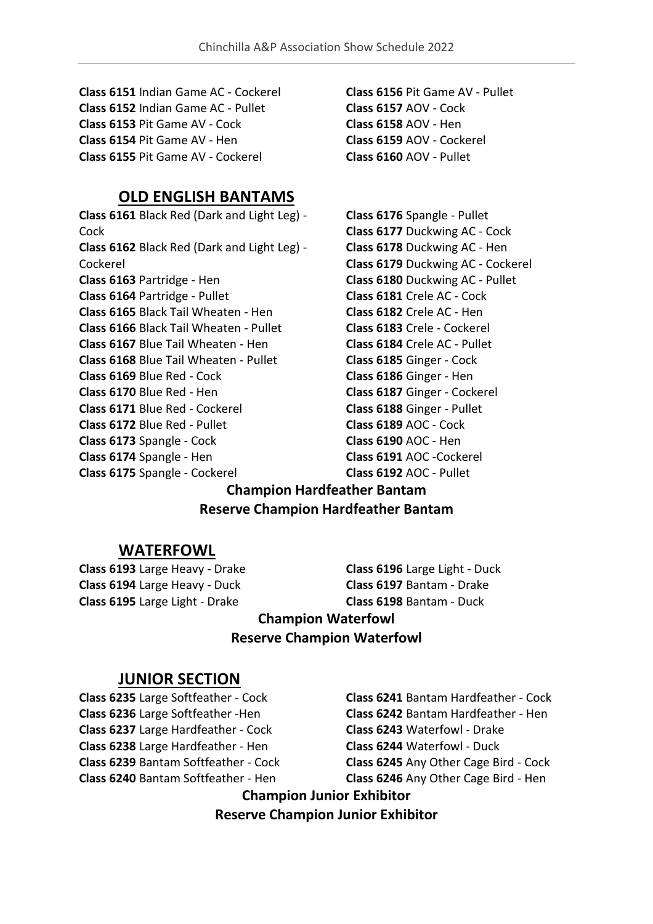**Class 6151** Indian Game AC - Cockerel **Class 6152** Indian Game AC - Pullet **Class 6153** Pit Game AV - Cock **Class 6154** Pit Game AV - Hen **Class 6155** Pit Game AV - Cockerel

# **OLD ENGLISH BANTAMS**

**Class 6161** Black Red (Dark and Light Leg) - Cock **Class 6162** Black Red (Dark and Light Leg) - Cockerel **Class 6163** Partridge - Hen **Class 6164** Partridge - Pullet **Class 6165** Black Tail Wheaten - Hen **Class 6166** Black Tail Wheaten - Pullet **Class 6167** Blue Tail Wheaten - Hen **Class 6168** Blue Tail Wheaten - Pullet **Class 6169** Blue Red - Cock **Class 6170** Blue Red - Hen **Class 6171** Blue Red - Cockerel **Class 6172** Blue Red - Pullet **Class 6173** Spangle - Cock **Class 6174** Spangle - Hen **Class 6175** Spangle - Cockerel

**Class 6156** Pit Game AV - Pullet **Class 6157** AOV - Cock **Class 6158** AOV - Hen **Class 6159** AOV - Cockerel **Class 6160** AOV - Pullet

**Class 6176** Spangle - Pullet **Class 6177** Duckwing AC - Cock **Class 6178** Duckwing AC - Hen **Class 6179** Duckwing AC - Cockerel **Class 6180** Duckwing AC - Pullet **Class 6181** Crele AC - Cock **Class 6182** Crele AC - Hen **Class 6183** Crele - Cockerel **Class 6184** Crele AC - Pullet **Class 6185** Ginger - Cock **Class 6186** Ginger - Hen **Class 6187** Ginger - Cockerel **Class 6188** Ginger - Pullet **Class 6189** AOC - Cock **Class 6190** AOC - Hen **Class 6191** AOC -Cockerel **Class 6192** AOC - Pullet

# **Champion Hardfeather Bantam Reserve Champion Hardfeather Bantam**

#### **WATERFOWL**

**Class 6193** Large Heavy - Drake **Class 6194** Large Heavy - Duck **Class 6195** Large Light - Drake

**Class 6196** Large Light - Duck **Class 6197** Bantam - Drake **Class 6198** Bantam - Duck

# **Champion Waterfowl Reserve Champion Waterfowl**

### **JUNIOR SECTION**

**Class 6235** Large Softfeather - Cock **Class 6236** Large Softfeather -Hen **Class 6237** Large Hardfeather - Cock **Class 6238** Large Hardfeather - Hen **Class 6239** Bantam Softfeather - Cock **Class 6240** Bantam Softfeather - Hen

**Class 6241** Bantam Hardfeather - Cock **Class 6242** Bantam Hardfeather - Hen **Class 6243** Waterfowl - Drake **Class 6244** Waterfowl - Duck **Class 6245** Any Other Cage Bird - Cock **Class 6246** Any Other Cage Bird - Hen

**Champion Junior Exhibitor Reserve Champion Junior Exhibitor**